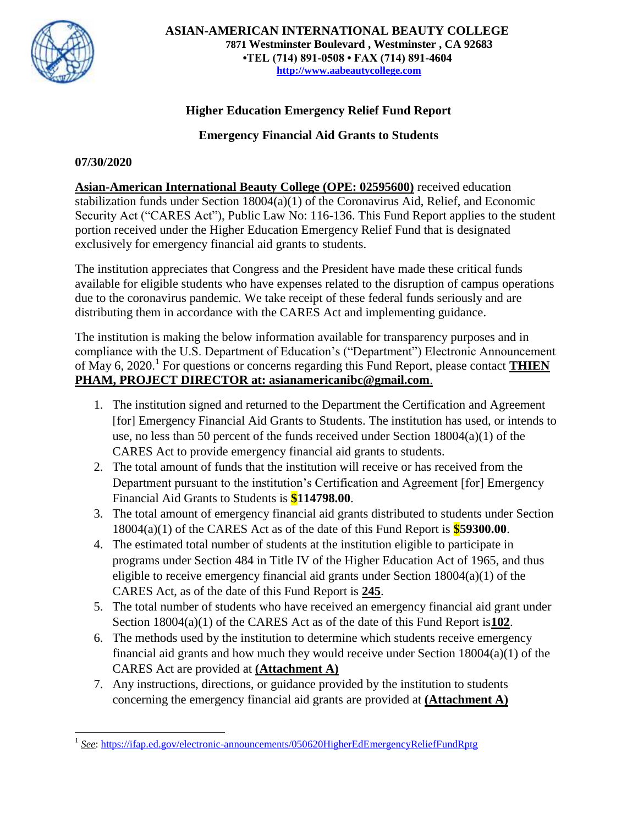

## **Higher Education Emergency Relief Fund Report**

**Emergency Financial Aid Grants to Students** 

## **07/30/2020**

**Asian-American International Beauty College (OPE: 02595600)** received education stabilization funds under Section 18004(a)(1) of the Coronavirus Aid, Relief, and Economic Security Act ("CARES Act"), Public Law No: 116-136. This Fund Report applies to the student portion received under the Higher Education Emergency Relief Fund that is designated exclusively for emergency financial aid grants to students.

The institution appreciates that Congress and the President have made these critical funds available for eligible students who have expenses related to the disruption of campus operations due to the coronavirus pandemic. We take receipt of these federal funds seriously and are distributing them in accordance with the CARES Act and implementing guidance.

The institution is making the below information available for transparency purposes and in compliance with the U.S. Department of Education's ("Department") Electronic Announcement of May 6, 2020.<sup>1</sup> For questions or concerns regarding this Fund Report, please contact **THIEN PHAM, PROJECT DIRECTOR at: asianamericanibc@gmail.com**.

- 1. The institution signed and returned to the Department the Certification and Agreement [for] Emergency Financial Aid Grants to Students. The institution has used, or intends to use, no less than 50 percent of the funds received under Section 18004(a)(1) of the CARES Act to provide emergency financial aid grants to students.
- 2. The total amount of funds that the institution will receive or has received from the Department pursuant to the institution's Certification and Agreement [for] Emergency Financial Aid Grants to Students is **\$114798.00**.
- 3. The total amount of emergency financial aid grants distributed to students under Section 18004(a)(1) of the CARES Act as of the date of this Fund Report is **\$59300.00**.
- 4. The estimated total number of students at the institution eligible to participate in programs under Section 484 in Title IV of the Higher Education Act of 1965, and thus eligible to receive emergency financial aid grants under Section 18004(a)(1) of the CARES Act, as of the date of this Fund Report is **245**.
- 5. The total number of students who have received an emergency financial aid grant under Section 18004(a)(1) of the CARES Act as of the date of this Fund Report is**102**.
- 6. The methods used by the institution to determine which students receive emergency financial aid grants and how much they would receive under Section 18004(a)(1) of the CARES Act are provided at **(Attachment A)**
- 7. Any instructions, directions, or guidance provided by the institution to students concerning the emergency financial aid grants are provided at **(Attachment A)**

 $\overline{\phantom{a}}$ 1 *See*:<https://ifap.ed.gov/electronic-announcements/050620HigherEdEmergencyReliefFundRptg>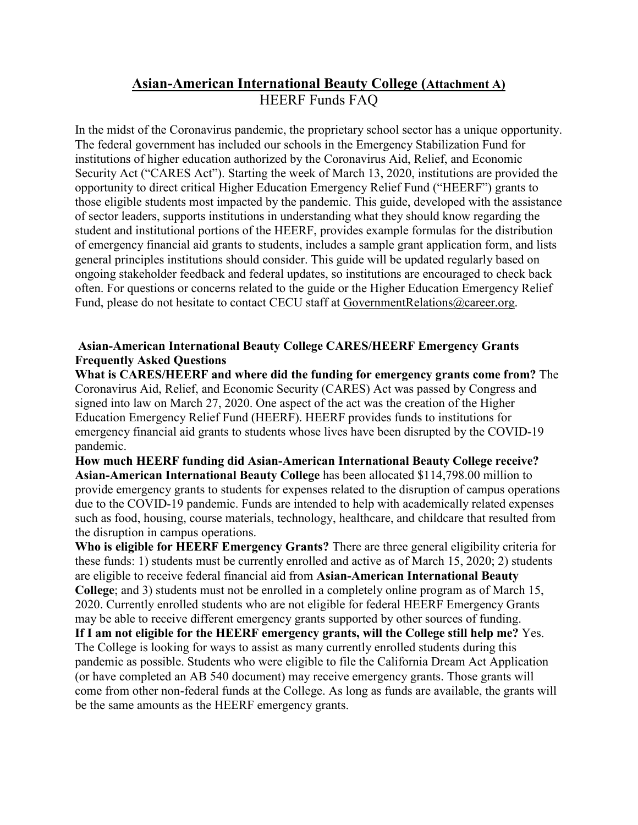## **Asian-American International Beauty College (Attachment A)** HEERF Funds FAQ

In the midst of the Coronavirus pandemic, the proprietary school sector has a unique opportunity. The federal government has included our schools in the Emergency Stabilization Fund for institutions of higher education authorized by the Coronavirus Aid, Relief, and Economic Security Act ("CARES Act"). Starting the week of March 13, 2020, institutions are provided the opportunity to direct critical Higher Education Emergency Relief Fund ("HEERF") grants to those eligible students most impacted by the pandemic. This guide, developed with the assistance of sector leaders, supports institutions in understanding what they should know regarding the student and institutional portions of the HEERF, provides example formulas for the distribution of emergency financial aid grants to students, includes a sample grant application form, and lists general principles institutions should consider. This guide will be updated regularly based on ongoing stakeholder feedback and federal updates, so institutions are encouraged to check back often. For questions or concerns related to the guide or the Higher Education Emergency Relief Fund, please do not hesitate to contact CECU staff at [GovernmentRelations@career.org.](mailto:GovernmentRelations@career.org)

## **Asian-American International Beauty College CARES/HEERF Emergency Grants Frequently Asked Questions**

**What is CARES/HEERF and where did the funding for emergency grants come from?** The Coronavirus Aid, Relief, and Economic Security (CARES) Act was passed by Congress and signed into law on March 27, 2020. One aspect of the act was the creation of the Higher Education Emergency Relief Fund (HEERF). HEERF provides funds to institutions for emergency financial aid grants to students whose lives have been disrupted by the COVID-19 pandemic.

**How much HEERF funding did Asian-American International Beauty College receive? Asian-American International Beauty College** has been allocated \$114,798.00 million to provide emergency grants to students for expenses related to the disruption of campus operations due to the COVID-19 pandemic. Funds are intended to help with academically related expenses such as food, housing, course materials, technology, healthcare, and childcare that resulted from the disruption in campus operations.

**Who is eligible for HEERF Emergency Grants?** There are three general eligibility criteria for these funds: 1) students must be currently enrolled and active as of March 15, 2020; 2) students are eligible to receive federal financial aid from **Asian-American International Beauty College**; and 3) students must not be enrolled in a completely online program as of March 15, 2020. Currently enrolled students who are not eligible for federal HEERF Emergency Grants may be able to receive different emergency grants supported by other sources of funding.

**If I am not eligible for the HEERF emergency grants, will the College still help me?** Yes. The College is looking for ways to assist as many currently enrolled students during this pandemic as possible. Students who were eligible to file the California Dream Act Application (or have completed an AB 540 document) may receive emergency grants. Those grants will come from other non-federal funds at the College. As long as funds are available, the grants will be the same amounts as the HEERF emergency grants.